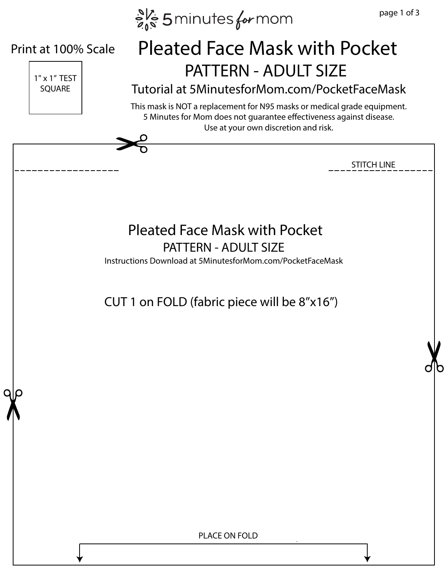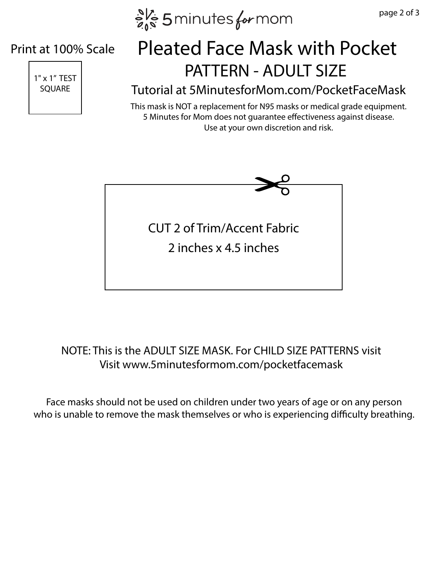$e^{N_c}$  5 minutes for mom

#### Print at 100% Scale



## TEX 1" TEST Pleated Face Mask with Pocket

### SQUARE Tutorial at 5MinutesforMom.com/PocketFaceMask

This mask is NOT a replacement for N95 masks or medical grade equipment. 5 Minutes for Mom does not guarantee effectiveness against disease. Use at your own discretion and risk.



### NOTE: This is the ADULT SIZE MASK. For CHILD SIZE PATTERNS visit Visit www.5minutesformom.com/pocketfacemask

Face masks should not be used on children under two years of age or on any person who is unable to remove the mask themselves or who is experiencing difficulty breathing.